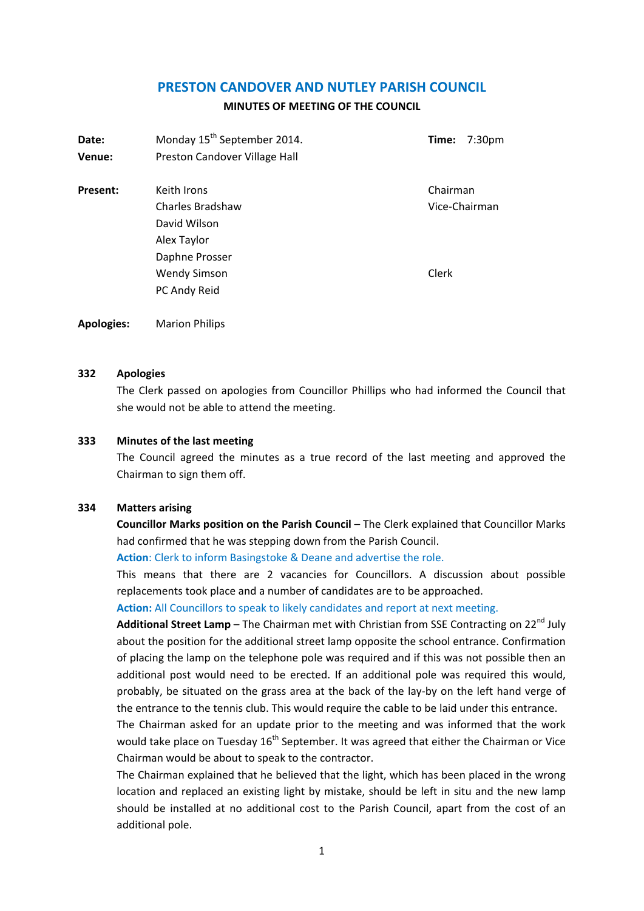# **PRESTON CANDOVER AND NUTLEY PARISH COUNCIL**

## **MINUTES OF MEETING OF THE COUNCIL**

| Date:           | Monday 15 <sup>th</sup> September 2014. | Time:<br>7:30pm |
|-----------------|-----------------------------------------|-----------------|
| Venue:          | Preston Candover Village Hall           |                 |
| <b>Present:</b> | Keith Irons                             | Chairman        |
|                 | Charles Bradshaw                        | Vice-Chairman   |
|                 | David Wilson                            |                 |
|                 | Alex Taylor                             |                 |
|                 | Daphne Prosser                          |                 |
|                 | <b>Wendy Simson</b>                     | Clerk           |
|                 | PC Andy Reid                            |                 |
|                 |                                         |                 |

**Apologies:** Marion Philips

### **332 Apologies**

The Clerk passed on apologies from Councillor Phillips who had informed the Council that she would not be able to attend the meeting.

## **333 Minutes of the last meeting**

The Council agreed the minutes as a true record of the last meeting and approved the Chairman to sign them off.

### **334 Matters arising**

**Councillor Marks position on the Parish Council** – The Clerk explained that Councillor Marks had confirmed that he was stepping down from the Parish Council.

**Action**: Clerk to inform Basingstoke & Deane and advertise the role.

This means that there are 2 vacancies for Councillors. A discussion about possible replacements took place and a number of candidates are to be approached.

**Action:** All Councillors to speak to likely candidates and report at next meeting.

Additional Street Lamp – The Chairman met with Christian from SSE Contracting on 22<sup>nd</sup> July about the position for the additional street lamp opposite the school entrance. Confirmation of placing the lamp on the telephone pole was required and if this was not possible then an additional post would need to be erected. If an additional pole was required this would, probably, be situated on the grass area at the back of the lay-by on the left hand verge of the entrance to the tennis club. This would require the cable to be laid under this entrance.

The Chairman asked for an update prior to the meeting and was informed that the work would take place on Tuesday  $16<sup>th</sup>$  September. It was agreed that either the Chairman or Vice Chairman would be about to speak to the contractor.

The Chairman explained that he believed that the light, which has been placed in the wrong location and replaced an existing light by mistake, should be left in situ and the new lamp should be installed at no additional cost to the Parish Council, apart from the cost of an additional pole.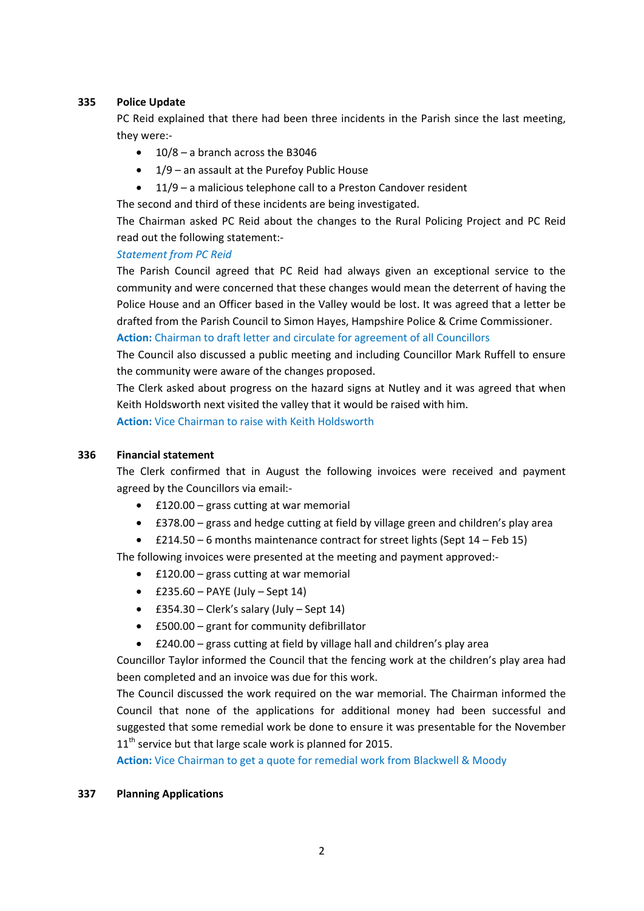# **335 Police Update**

PC Reid explained that there had been three incidents in the Parish since the last meeting, they were:-

- 10/8 a branch across the B3046
- 1/9 an assault at the Purefoy Public House
- 11/9 a malicious telephone call to a Preston Candover resident
- The second and third of these incidents are being investigated.

The Chairman asked PC Reid about the changes to the Rural Policing Project and PC Reid read out the following statement:-

## *Statement from PC Reid*

The Parish Council agreed that PC Reid had always given an exceptional service to the community and were concerned that these changes would mean the deterrent of having the Police House and an Officer based in the Valley would be lost. It was agreed that a letter be drafted from the Parish Council to Simon Hayes, Hampshire Police & Crime Commissioner. **Action:** Chairman to draft letter and circulate for agreement of all Councillors

The Council also discussed a public meeting and including Councillor Mark Ruffell to ensure the community were aware of the changes proposed.

The Clerk asked about progress on the hazard signs at Nutley and it was agreed that when Keith Holdsworth next visited the valley that it would be raised with him.

**Action:** Vice Chairman to raise with Keith Holdsworth

## **336 Financial statement**

The Clerk confirmed that in August the following invoices were received and payment agreed by the Councillors via email:-

- £120.00 grass cutting at war memorial
- £378.00 grass and hedge cutting at field by village green and children's play area
- $£214.50 6$  months maintenance contract for street lights (Sept  $14 Feb$  15)

The following invoices were presented at the meeting and payment approved:-

- £120.00 grass cutting at war memorial
- $\bullet$  £235.60 PAYE (July Sept 14)
- $£354.30 Clark's salary (July Sept 14)$
- £500.00 grant for community defibrillator
- £240.00 grass cutting at field by village hall and children's play area

Councillor Taylor informed the Council that the fencing work at the children's play area had been completed and an invoice was due for this work.

The Council discussed the work required on the war memorial. The Chairman informed the Council that none of the applications for additional money had been successful and suggested that some remedial work be done to ensure it was presentable for the November  $11<sup>th</sup>$  service but that large scale work is planned for 2015.

**Action:** Vice Chairman to get a quote for remedial work from Blackwell & Moody

## **337 Planning Applications**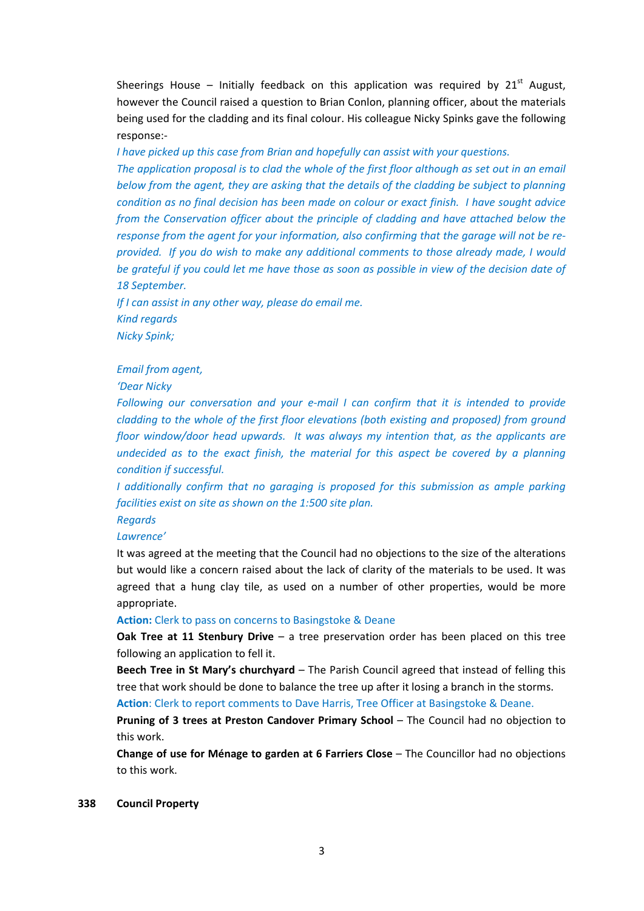Sheerings House – Initially feedback on this application was required by  $21<sup>st</sup>$  August, however the Council raised a question to Brian Conlon, planning officer, about the materials being used for the cladding and its final colour. His colleague Nicky Spinks gave the following response:-

*I have picked up this case from Brian and hopefully can assist with your questions.* 

*The application proposal is to clad the whole of the first floor although as set out in an email below from the agent, they are asking that the details of the cladding be subject to planning condition as no final decision has been made on colour or exact finish. I have sought advice from the Conservation officer about the principle of cladding and have attached below the response from the agent for your information, also confirming that the garage will not be reprovided. If you do wish to make any additional comments to those already made, I would be grateful if you could let me have those as soon as possible in view of the decision date of 18 September.* 

*If I can assist in any other way, please do email me. Kind regards Nicky Spink;* 

*Email from agent,* 

*'Dear Nicky* 

*Following our conversation and your e-mail I can confirm that it is intended to provide cladding to the whole of the first floor elevations (both existing and proposed) from ground floor window/door head upwards. It was always my intention that, as the applicants are undecided as to the exact finish, the material for this aspect be covered by a planning condition if successful.* 

*I additionally confirm that no garaging is proposed for this submission as ample parking facilities exist on site as shown on the 1:500 site plan.* 

*Regards* 

*Lawrence'* 

It was agreed at the meeting that the Council had no objections to the size of the alterations but would like a concern raised about the lack of clarity of the materials to be used. It was agreed that a hung clay tile, as used on a number of other properties, would be more appropriate.

**Action:** Clerk to pass on concerns to Basingstoke & Deane

**Oak Tree at 11 Stenbury Drive** – a tree preservation order has been placed on this tree following an application to fell it.

**Beech Tree in St Mary's churchyard** – The Parish Council agreed that instead of felling this tree that work should be done to balance the tree up after it losing a branch in the storms.

**Action**: Clerk to report comments to Dave Harris, Tree Officer at Basingstoke & Deane.

**Pruning of 3 trees at Preston Candover Primary School - The Council had no objection to** this work.

**Change of use for Ménage to garden at 6 Farriers Close** – The Councillor had no objections to this work.

#### **338 Council Property**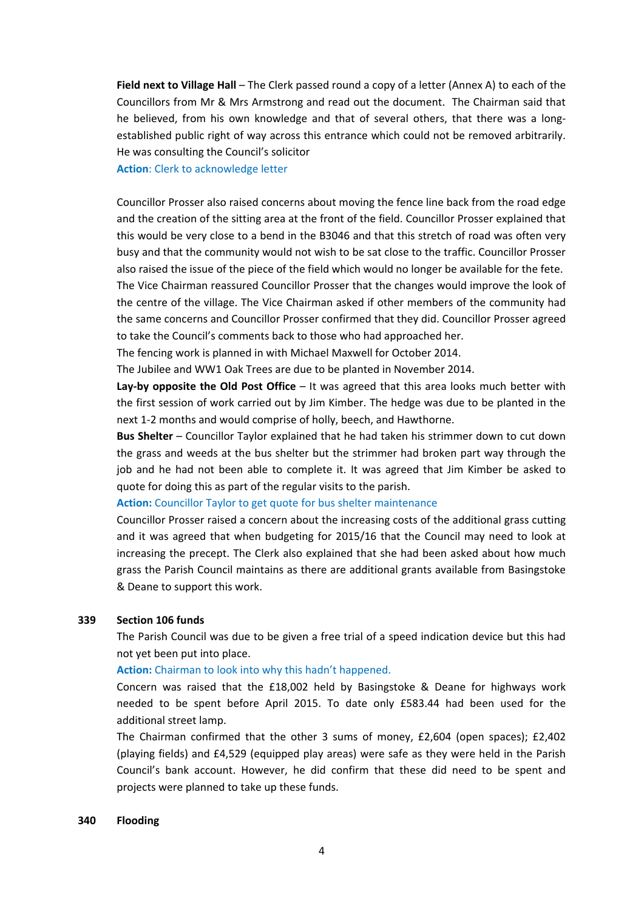**Field next to Village Hall** – The Clerk passed round a copy of a letter (Annex A) to each of the Councillors from Mr & Mrs Armstrong and read out the document. The Chairman said that he believed, from his own knowledge and that of several others, that there was a longestablished public right of way across this entrance which could not be removed arbitrarily. He was consulting the Council's solicitor

**Action**: Clerk to acknowledge letter

Councillor Prosser also raised concerns about moving the fence line back from the road edge and the creation of the sitting area at the front of the field. Councillor Prosser explained that this would be very close to a bend in the B3046 and that this stretch of road was often very busy and that the community would not wish to be sat close to the traffic. Councillor Prosser also raised the issue of the piece of the field which would no longer be available for the fete. The Vice Chairman reassured Councillor Prosser that the changes would improve the look of the centre of the village. The Vice Chairman asked if other members of the community had the same concerns and Councillor Prosser confirmed that they did. Councillor Prosser agreed to take the Council's comments back to those who had approached her.

The fencing work is planned in with Michael Maxwell for October 2014.

The Jubilee and WW1 Oak Trees are due to be planted in November 2014.

**Lay-by opposite the Old Post Office** – It was agreed that this area looks much better with the first session of work carried out by Jim Kimber. The hedge was due to be planted in the next 1-2 months and would comprise of holly, beech, and Hawthorne.

**Bus Shelter** – Councillor Taylor explained that he had taken his strimmer down to cut down the grass and weeds at the bus shelter but the strimmer had broken part way through the job and he had not been able to complete it. It was agreed that Jim Kimber be asked to quote for doing this as part of the regular visits to the parish.

### **Action:** Councillor Taylor to get quote for bus shelter maintenance

Councillor Prosser raised a concern about the increasing costs of the additional grass cutting and it was agreed that when budgeting for 2015/16 that the Council may need to look at increasing the precept. The Clerk also explained that she had been asked about how much grass the Parish Council maintains as there are additional grants available from Basingstoke & Deane to support this work.

## **339 Section 106 funds**

The Parish Council was due to be given a free trial of a speed indication device but this had not yet been put into place.

## **Action:** Chairman to look into why this hadn't happened.

Concern was raised that the £18,002 held by Basingstoke & Deane for highways work needed to be spent before April 2015. To date only £583.44 had been used for the additional street lamp.

The Chairman confirmed that the other 3 sums of money, £2,604 (open spaces); £2,402 (playing fields) and £4,529 (equipped play areas) were safe as they were held in the Parish Council's bank account. However, he did confirm that these did need to be spent and projects were planned to take up these funds.

#### **340 Flooding**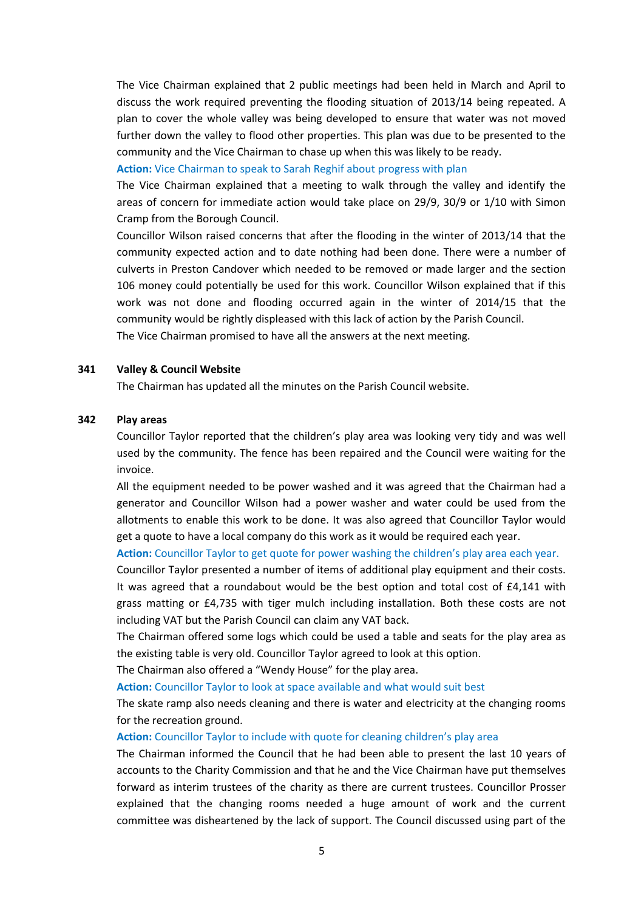The Vice Chairman explained that 2 public meetings had been held in March and April to discuss the work required preventing the flooding situation of 2013/14 being repeated. A plan to cover the whole valley was being developed to ensure that water was not moved further down the valley to flood other properties. This plan was due to be presented to the community and the Vice Chairman to chase up when this was likely to be ready.

**Action:** Vice Chairman to speak to Sarah Reghif about progress with plan

The Vice Chairman explained that a meeting to walk through the valley and identify the areas of concern for immediate action would take place on 29/9, 30/9 or 1/10 with Simon Cramp from the Borough Council.

Councillor Wilson raised concerns that after the flooding in the winter of 2013/14 that the community expected action and to date nothing had been done. There were a number of culverts in Preston Candover which needed to be removed or made larger and the section 106 money could potentially be used for this work. Councillor Wilson explained that if this work was not done and flooding occurred again in the winter of 2014/15 that the community would be rightly displeased with this lack of action by the Parish Council. The Vice Chairman promised to have all the answers at the next meeting.

### **341 Valley & Council Website**

The Chairman has updated all the minutes on the Parish Council website.

## **342 Play areas**

Councillor Taylor reported that the children's play area was looking very tidy and was well used by the community. The fence has been repaired and the Council were waiting for the invoice.

All the equipment needed to be power washed and it was agreed that the Chairman had a generator and Councillor Wilson had a power washer and water could be used from the allotments to enable this work to be done. It was also agreed that Councillor Taylor would get a quote to have a local company do this work as it would be required each year.

#### **Action:** Councillor Taylor to get quote for power washing the children's play area each year.

Councillor Taylor presented a number of items of additional play equipment and their costs. It was agreed that a roundabout would be the best option and total cost of £4,141 with grass matting or £4,735 with tiger mulch including installation. Both these costs are not including VAT but the Parish Council can claim any VAT back.

The Chairman offered some logs which could be used a table and seats for the play area as the existing table is very old. Councillor Taylor agreed to look at this option.

The Chairman also offered a "Wendy House" for the play area.

**Action:** Councillor Taylor to look at space available and what would suit best

The skate ramp also needs cleaning and there is water and electricity at the changing rooms for the recreation ground.

#### **Action:** Councillor Taylor to include with quote for cleaning children's play area

The Chairman informed the Council that he had been able to present the last 10 years of accounts to the Charity Commission and that he and the Vice Chairman have put themselves forward as interim trustees of the charity as there are current trustees. Councillor Prosser explained that the changing rooms needed a huge amount of work and the current committee was disheartened by the lack of support. The Council discussed using part of the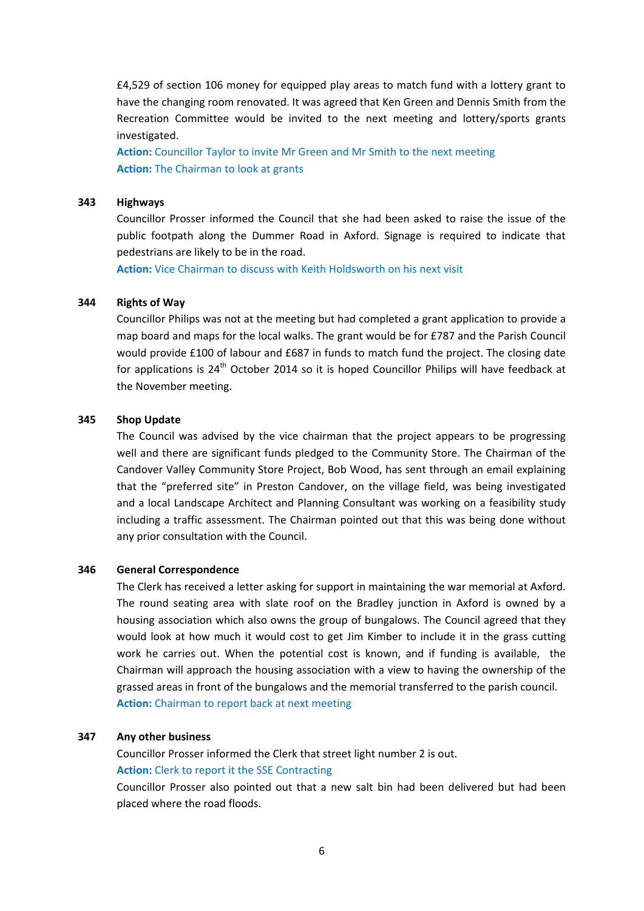£4,529 of section 106 money for equipped play areas to match fund with a lottery grant to have the changing room renovated. It was agreed that Ken Green and Dennis Smith from the Recreation Committee would be invited to the next meeting and lottery/sports grants investigated.

**Action:** Councillor Taylor to invite Mr Green and Mr Smith to the next meeting **Action:** The Chairman to look at grants

### **343 Highways**

Councillor Prosser informed the Council that she had been asked to raise the issue of the public footpath along the Dummer Road in Axford. Signage is required to indicate that pedestrians are likely to be in the road.

**Action:** Vice Chairman to discuss with Keith Holdsworth on his next visit

## **344 Rights of Way**

Councillor Philips was not at the meeting but had completed a grant application to provide a map board and maps for the local walks. The grant would be for £787 and the Parish Council would provide £100 of labour and £687 in funds to match fund the project. The closing date for applications is 24<sup>th</sup> October 2014 so it is hoped Councillor Philips will have feedback at the November meeting.

## **345 Shop Update**

The Council was advised by the vice chairman that the project appears to be progressing well and there are significant funds pledged to the Community Store. The Chairman of the Candover Valley Community Store Project, Bob Wood, has sent through an email explaining that the "preferred site" in Preston Candover, on the village field, was being investigated and a local Landscape Architect and Planning Consultant was working on a feasibility study including a traffic assessment. The Chairman pointed out that this was being done without any prior consultation with the Council.

## **346 General Correspondence**

The Clerk has received a letter asking for support in maintaining the war memorial at Axford. The round seating area with slate roof on the Bradley junction in Axford is owned by a housing association which also owns the group of bungalows. The Council agreed that they would look at how much it would cost to get Jim Kimber to include it in the grass cutting work he carries out. When the potential cost is known, and if funding is available, the Chairman will approach the housing association with a view to having the ownership of the grassed areas in front of the bungalows and the memorial transferred to the parish council. **Action:** Chairman to report back at next meeting

#### **347 Any other business**

Councillor Prosser informed the Clerk that street light number 2 is out. **Action:** Clerk to report it the SSE Contracting

Councillor Prosser also pointed out that a new salt bin had been delivered but had been placed where the road floods.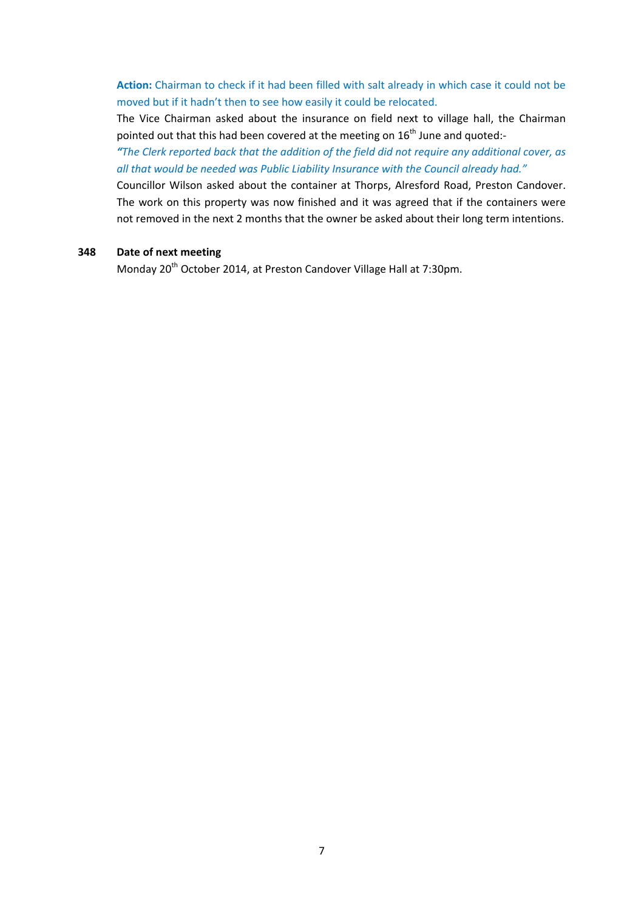**Action:** Chairman to check if it had been filled with salt already in which case it could not be moved but if it hadn't then to see how easily it could be relocated.

The Vice Chairman asked about the insurance on field next to village hall, the Chairman pointed out that this had been covered at the meeting on  $16<sup>th</sup>$  June and quoted:-

*"The Clerk reported back that the addition of the field did not require any additional cover, as all that would be needed was Public Liability Insurance with the Council already had."* 

Councillor Wilson asked about the container at Thorps, Alresford Road, Preston Candover. The work on this property was now finished and it was agreed that if the containers were not removed in the next 2 months that the owner be asked about their long term intentions.

## **348 Date of next meeting**

Monday 20<sup>th</sup> October 2014, at Preston Candover Village Hall at 7:30pm.